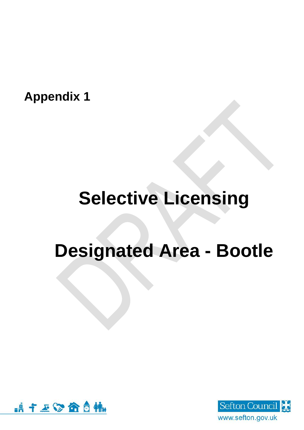**Appendix 1**

## **Selective Licensing**

## **Designated Area - Bootle**



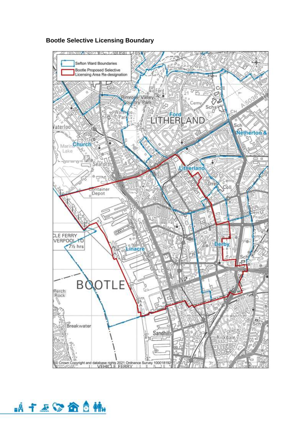

## **Bootle Selective Licensing Boundary**

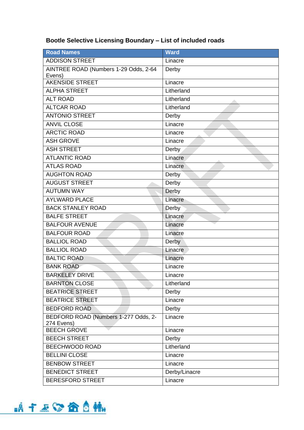## **Bootle Selective Licensing Boundary – List of included roads**

| <b>Road Names</b>                                  | <b>Ward</b>   |
|----------------------------------------------------|---------------|
| <b>ADDISON STREET</b>                              | Linacre       |
| AINTREE ROAD (Numbers 1-29 Odds, 2-64<br>Evens)    | Derby         |
| AKENSIDE STREET                                    | Linacre       |
| <b>ALPHA STREET</b>                                | Litherland    |
| <b>ALT ROAD</b>                                    | Litherland    |
| <b>ALTCAR ROAD</b>                                 | Litherland    |
| <b>ANTONIO STREET</b>                              | Derby         |
| <b>ANVIL CLOSE</b>                                 | Linacre       |
| <b>ARCTIC ROAD</b>                                 | Linacre       |
| <b>ASH GROVE</b>                                   | Linacre       |
| <b>ASH STREET</b>                                  | Derby         |
| <b>ATLANTIC ROAD</b>                               | Linacre       |
| <b>ATLAS ROAD</b>                                  | Linacre       |
| <b>AUGHTON ROAD</b>                                | Derby         |
| <b>AUGUST STREET</b>                               | Derby         |
| <b>AUTUMN WAY</b>                                  | Derby         |
| <b>AYLWARD PLACE</b>                               | Linacre       |
| <b>BACK STANLEY ROAD</b>                           | Derby         |
| <b>BALFE STREET</b>                                | Linacre       |
| <b>BALFOUR AVENUE</b>                              | Linacre       |
| <b>BALFOUR ROAD</b>                                | Linacre       |
| <b>BALLIOL ROAD</b>                                | Derby         |
| <b>BALLIOL ROAD</b>                                | Linacre       |
| <b>BALTIC ROAD</b>                                 | Linacre       |
| <b>BANK ROAD</b>                                   | Linacre       |
| <b>BARKELEY DRIVE</b>                              | Linacre       |
| <b>BARNTON CLOSE</b>                               | Litherland    |
| <b>BEATRICE STREET</b>                             | Derby         |
| <b>BEATRICE STREET</b>                             | Linacre       |
| <b>BEDFORD ROAD</b>                                | Derby         |
| BEDFORD ROAD (Numbers 1-277 Odds, 2-<br>274 Evens) | Linacre       |
| <b>BEECH GROVE</b>                                 | Linacre       |
| <b>BEECH STREET</b>                                | Derby         |
| BEECHWOOD ROAD                                     | Litherland    |
| <b>BELLINI CLOSE</b>                               | Linacre       |
| <b>BENBOW STREET</b>                               | Linacre       |
| <b>BENEDICT STREET</b>                             | Derby/Linacre |
| <b>BERESFORD STREET</b>                            | Linacre       |

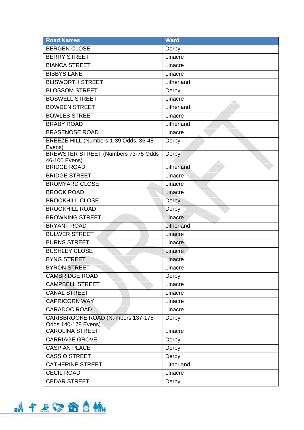| <b>Road Names</b>                                                | <b>Ward</b> |
|------------------------------------------------------------------|-------------|
| <b>BERGEN CLOSE</b>                                              | Derby       |
| <b>BERRY STREET</b>                                              | Linacre     |
| <b>BIANCA STREET</b>                                             | Linacre     |
| <b>BIBBYS LANE</b>                                               | Linacre     |
| <b>BLISWORTH STREET</b>                                          | Litherland  |
| <b>BLOSSOM STREET</b>                                            | Derby       |
| <b>BOSWELL STREET</b>                                            | Linacre     |
| <b>BOWDEN STREET</b>                                             | Litherland  |
| <b>BOWLES STREET</b>                                             | Linacre     |
| <b>BRABY ROAD</b>                                                | Litherland  |
| <b>BRASENOSE ROAD</b>                                            | Linacre     |
| BREEZE HILL (Numbers 1-39 Odds, 36-48<br>Evens)                  | Derby       |
| <b>BREWSTER STREET (Numbers 73-75 Odds</b><br>46-100 Evens)      | Derby       |
| <b>BRIDGE ROAD</b>                                               | Litherland  |
| <b>BRIDGE STREET</b>                                             | Linacre     |
| <b>BROMYARD CLOSE</b>                                            | Linacre     |
| <b>BROOK ROAD</b>                                                | Linacre     |
| <b>BROOKHILL CLOSE</b>                                           | Derby       |
| <b>BROOKHILL ROAD</b>                                            | Derby       |
| <b>BROWNING STREET</b>                                           | Linacre     |
| <b>BRYANT ROAD</b>                                               | Litherland  |
| <b>BULWER STREET</b>                                             | Linacre     |
| <b>BURNS STREET</b>                                              | Linacre     |
| <b>BUSHLEY CLOSE</b>                                             | Linacre     |
| <b>BYNG STREET</b>                                               | Linacre     |
| <b>BYRON STREET</b>                                              | Linacre     |
| <b>CAMBRIDGE ROAD</b>                                            | Derby       |
| <b>CAMPBELL STREET</b>                                           | Linacre     |
| <b>CANAL STREET</b>                                              | Linacre     |
| <b>CAPRICORN WAY</b>                                             | Linacre     |
| <b>CARADOC ROAD</b>                                              | Linacre     |
| <b>CARISBROOKE ROAD (Numbers 137-175)</b><br>Odds 140-178 Evens) | Derby       |
| <b>CAROLINA STREET</b>                                           | Linacre     |
| <b>CARRIAGE GROVE</b>                                            | Derby       |
| <b>CASPIAN PLACE</b>                                             | Derby       |
| <b>CASSIO STREET</b>                                             | Derby       |
| <b>CATHERINE STREET</b>                                          | Litherland  |
| <b>CECIL ROAD</b>                                                | Linacre     |
| <b>CEDAR STREET</b>                                              | Derby       |

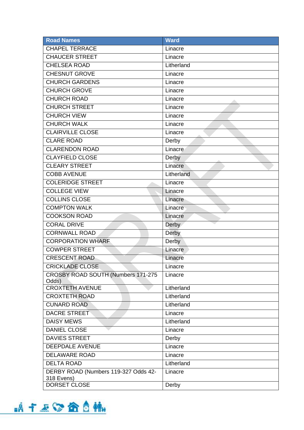| <b>Road Names</b>                    | <b>Ward</b> |
|--------------------------------------|-------------|
| <b>CHAPEL TERRACE</b>                | Linacre     |
| <b>CHAUCER STREET</b>                | Linacre     |
| <b>CHELSEA ROAD</b>                  | Litherland  |
| <b>CHESNUT GROVE</b>                 | Linacre     |
| <b>CHURCH GARDENS</b>                | Linacre     |
| <b>CHURCH GROVE</b>                  | Linacre     |
| <b>CHURCH ROAD</b>                   | Linacre     |
| <b>CHURCH STREET</b>                 | Linacre     |
| <b>CHURCH VIEW</b>                   | Linacre     |
| <b>CHURCH WALK</b>                   | Linacre     |
| <b>CLAIRVILLE CLOSE</b>              | Linacre     |
| <b>CLARE ROAD</b>                    | Derby       |
| <b>CLARENDON ROAD</b>                | Linacre     |
| <b>CLAYFIELD CLOSE</b>               | Derby       |
| <b>CLEARY STREET</b>                 | Linacre     |
| <b>COBB AVENUE</b>                   | Litherland  |
| <b>COLERIDGE STREET</b>              | Linacre     |
| <b>COLLEGE VIEW</b>                  | Linacre     |
| <b>COLLINS CLOSE</b>                 | Linacre     |
| <b>COMPTON WALK</b>                  | Linacre     |
| <b>COOKSON ROAD</b>                  | Linacre     |
| <b>CORAL DRIVE</b>                   | Derby       |
| <b>CORNWALL ROAD</b>                 | Derby       |
| <b>CORPORATION WHARF</b>             | Derby       |
| <b>COWPER STREET</b>                 | Linacre     |
| <b>CRESCENT ROAD</b>                 | Linacre     |
| <b>CRICKLADE CLOSE</b>               | Linacre     |
| CROSBY ROAD SOUTH (Numbers 171-275   | Linacre     |
| Odds)<br><b>CROXTETH AVENUE</b>      | Litherland  |
| <b>CROXTETH ROAD</b>                 | Litherland  |
| <b>CUNARD ROAD</b>                   | Litherland  |
| <b>DACRE STREET</b>                  | Linacre     |
| <b>DAISY MEWS</b>                    | Litherland  |
| <b>DANIEL CLOSE</b>                  | Linacre     |
| <b>DAVIES STREET</b>                 | Derby       |
| <b>DEEPDALE AVENUE</b>               | Linacre     |
| <b>DELAWARE ROAD</b>                 | Linacre     |
| <b>DELTA ROAD</b>                    | Litherland  |
| DERBY ROAD (Numbers 119-327 Odds 42- | Linacre     |
| 318 Evens)                           |             |
| DORSET CLOSE                         | Derby       |

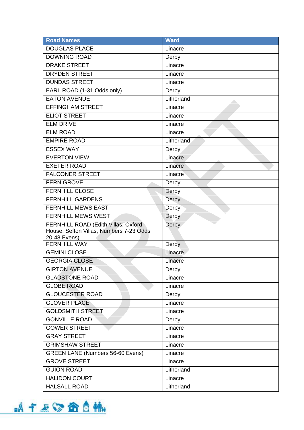| <b>Road Names</b>                       | <b>Ward</b> |
|-----------------------------------------|-------------|
| <b>DOUGLAS PLACE</b>                    | Linacre     |
| <b>DOWNING ROAD</b>                     | Derby       |
| <b>DRAKE STREET</b>                     | Linacre     |
| <b>DRYDEN STREET</b>                    | Linacre     |
| <b>DUNDAS STREET</b>                    | Linacre     |
| EARL ROAD (1-31 Odds only)              | Derby       |
| <b>EATON AVENUE</b>                     | Litherland  |
| <b>EFFINGHAM STREET</b>                 | Linacre     |
| <b>ELIOT STREET</b>                     | Linacre     |
| <b>ELM DRIVE</b>                        | Linacre     |
| <b>ELM ROAD</b>                         | Linacre     |
| <b>EMPIRE ROAD</b>                      | Litherland  |
| <b>ESSEX WAY</b>                        | Derby       |
| <b>EVERTON VIEW</b>                     | Linacre     |
| <b>EXETER ROAD</b>                      | Linacre     |
| <b>FALCONER STREET</b>                  | Linacre     |
| <b>FERN GROVE</b>                       | Derby       |
| <b>FERNHILL CLOSE</b>                   | Derby       |
| <b>FERNHILL GARDENS</b>                 | Derby       |
| <b>FERNHILL MEWS EAST</b>               | Derby       |
| <b>FERNHILL MEWS WEST</b>               | Derby       |
| FERNHILL ROAD (Edith Villas, Oxford     | Derby       |
| House, Sefton Villas, Numbers 7-23 Odds |             |
| 20-48 Evens)<br><b>FERNHILL WAY</b>     | Derby       |
| <b>GEMINI CLOSE</b>                     | Linacre     |
| <b>GEORGIA CLOSE</b>                    | Linacre     |
| <b>GIRTON AVENUE</b>                    | Derby       |
| <b>GLADSTONE ROAD</b>                   | Linacre     |
| <b>GLOBE ROAD</b>                       | Linacre     |
| <b>GLOUCESTER ROAD</b>                  | Derby       |
| <b>GLOVER PLACE</b>                     | Linacre     |
| <b>GOLDSMITH STREET</b>                 |             |
| <b>GONVILLE ROAD</b>                    | Linacre     |
|                                         | Derby       |
| <b>GOWER STREET</b>                     | Linacre     |
| <b>GRAY STREET</b>                      | Linacre     |
| <b>GRIMSHAW STREET</b>                  | Linacre     |
| <b>GREEN LANE (Numbers 56-60 Evens)</b> | Linacre     |
| <b>GROVE STREET</b>                     | Linacre     |
| <b>GUION ROAD</b>                       | Litherland  |
| <b>HALIDON COURT</b>                    | Linacre     |
| <b>HALSALL ROAD</b>                     | Litherland  |

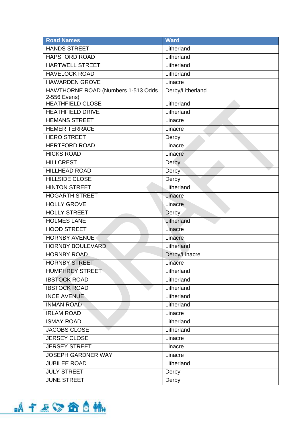| <b>Road Names</b>                                  | <b>Ward</b>      |
|----------------------------------------------------|------------------|
| <b>HANDS STREET</b>                                | Litherland       |
| <b>HAPSFORD ROAD</b>                               | Litherland       |
| <b>HARTWELL STREET</b>                             | Litherland       |
| <b>HAVELOCK ROAD</b>                               | Litherland       |
| <b>HAWARDEN GROVE</b>                              | Linacre          |
| HAWTHORNE ROAD (Numbers 1-513 Odds<br>2-556 Evens) | Derby/Litherland |
| <b>HEATHFIELD CLOSE</b>                            | Litherland       |
| <b>HEATHFIELD DRIVE</b>                            | Litherland       |
| <b>HEMANS STREET</b>                               | Linacre          |
| <b>HEMER TERRACE</b>                               | Linacre          |
| <b>HERO STREET</b>                                 | Derby            |
| <b>HERTFORD ROAD</b>                               | Linacre          |
| <b>HICKS ROAD</b>                                  | Linacre          |
| <b>HILLCREST</b>                                   | Derby            |
| <b>HILLHEAD ROAD</b>                               | Derby            |
| <b>HILLSIDE CLOSE</b>                              | Derby            |
| <b>HINTON STREET</b>                               | Litherland       |
| <b>HOGARTH STREET</b>                              | Linacre          |
| <b>HOLLY GROVE</b>                                 | Linacre          |
| <b>HOLLY STREET</b>                                | Derby            |
| <b>HOLMES LANE</b>                                 | Litherland       |
| <b>HOOD STREET</b>                                 | Linacre          |
| <b>HORNBY AVENUE</b>                               | Linacre          |
| <b>HORNBY BOULEVARD</b>                            | Litherland       |
| <b>HORNBY ROAD</b>                                 | Derby/Linacre    |
| <b>HORNBY STREET</b>                               | Linacre          |
| <b>HUMPHREY STREET</b>                             | Litherland       |
| <b>IBSTOCK ROAD</b>                                | Litherland       |
| <b>IBSTOCK ROAD</b>                                | Litherland       |
| <b>INCE AVENUE</b>                                 | Litherland       |
| <b>INMAN ROAD</b>                                  | Litherland       |
| <b>IRLAM ROAD</b>                                  | Linacre          |
| <b>ISMAY ROAD</b>                                  | Litherland       |
| <b>JACOBS CLOSE</b>                                | Litherland       |
| <b>JERSEY CLOSE</b>                                | Linacre          |
| <b>JERSEY STREET</b>                               | Linacre          |
| <b>JOSEPH GARDNER WAY</b>                          | Linacre          |
| <b>JUBILEE ROAD</b>                                | Litherland       |
| <b>JULY STREET</b>                                 | Derby            |
| <b>JUNE STREET</b>                                 | Derby            |

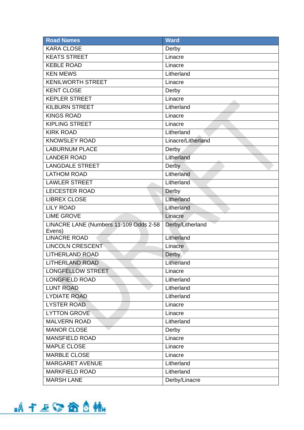| <b>Road Names</b>                                | <b>Ward</b>        |
|--------------------------------------------------|--------------------|
| <b>KARA CLOSE</b>                                | Derby              |
| <b>KEATS STREET</b>                              | Linacre            |
| <b>KEBLE ROAD</b>                                | Linacre            |
| <b>KEN MEWS</b>                                  | Litherland         |
| <b>KENILWORTH STREET</b>                         | Linacre            |
| <b>KENT CLOSE</b>                                | Derby              |
| <b>KEPLER STREET</b>                             | Linacre            |
| <b>KILBURN STREET</b>                            | Litherland         |
| <b>KINGS ROAD</b>                                | Linacre            |
| <b>KIPLING STREET</b>                            | Linacre            |
| <b>KIRK ROAD</b>                                 | Litherland         |
| <b>KNOWSLEY ROAD</b>                             | Linacre/Litherland |
| <b>LABURNUM PLACE</b>                            | Derby              |
| <b>LANDER ROAD</b>                               | Litherland         |
| <b>LANGDALE STREET</b>                           | Derby              |
| <b>LATHOM ROAD</b>                               | Litherland         |
| <b>LAWLER STREET</b>                             | Litherland         |
| <b>LEICESTER ROAD</b>                            | Derby              |
| <b>LIBREX CLOSE</b>                              | Litherland         |
| <b>LILY ROAD</b>                                 | Litherland         |
| <b>LIME GROVE</b>                                | Linacre            |
| LINACRE LANE (Numbers 11-109 Odds 2-58<br>Evens) | Derby/Litherland   |
| <b>LINACRE ROAD</b>                              | Litherland         |
| <b>LINCOLN CRESCENT</b>                          | Linacre            |
| <b>LITHERLAND ROAD</b>                           | Derby              |
| <b>LITHERLAND ROAD</b>                           | Litherland         |
| LONGFELLOW STREET                                | Linacre            |
| <b>LONGFIELD ROAD</b>                            | Litherland         |
| <b>LUNT ROAD</b>                                 | Litherland         |
| <b>LYDIATE ROAD</b>                              | Litherland         |
| <b>LYSTER ROAD</b>                               | Linacre            |
| <b>LYTTON GROVE</b>                              | Linacre            |
| <b>MALVERN ROAD</b>                              | Litherland         |
| <b>MANOR CLOSE</b>                               | Derby              |
| <b>MANSFIELD ROAD</b>                            | Linacre            |
| <b>MAPLE CLOSE</b>                               | Linacre            |
| <b>MARBLE CLOSE</b>                              | Linacre            |
| <b>MARGARET AVENUE</b>                           | Litherland         |
| <b>MARKFIELD ROAD</b>                            | Litherland         |
| <b>MARSH LANE</b>                                | Derby/Linacre      |

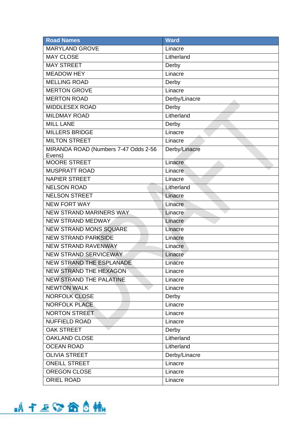| <b>Road Names</b>                    | <b>Ward</b>   |
|--------------------------------------|---------------|
| <b>MARYLAND GROVE</b>                | Linacre       |
| <b>MAY CLOSE</b>                     | Litherland    |
| <b>MAY STREET</b>                    | Derby         |
| <b>MEADOW HEY</b>                    | Linacre       |
| <b>MELLING ROAD</b>                  | Derby         |
| <b>MERTON GROVE</b>                  | Linacre       |
| <b>MERTON ROAD</b>                   | Derby/Linacre |
| <b>MIDDLESEX ROAD</b>                | Derby         |
| <b>MILDMAY ROAD</b>                  | Litherland    |
| <b>MILL LANE</b>                     | Derby         |
| <b>MILLERS BRIDGE</b>                | Linacre       |
| <b>MILTON STREET</b>                 | Linacre       |
| MIRANDA ROAD (Numbers 7-47 Odds 2-56 | Derby/Linacre |
| Evens)<br><b>MOORE STREET</b>        | Linacre       |
| <b>MUSPRATT ROAD</b>                 | Linacre       |
| <b>NAPIER STREET</b>                 | Linacre       |
| <b>NELSON ROAD</b>                   | Litherland    |
| <b>NELSON STREET</b>                 | Linacre       |
| <b>NEW FORT WAY</b>                  | Linacre       |
| <b>NEW STRAND MARINERS WAY</b>       | Linacre       |
| <b>NEW STRAND MEDWAY</b>             | Linacre       |
| <b>NEW STRAND MONS SQUARE</b>        | Linacre       |
| <b>NEW STRAND PARKSIDE</b>           | Linacre       |
| <b>NEW STRAND RAVENWAY</b>           | Linacre       |
| <b>NEW STRAND SERVICEWAY</b>         | Linacre       |
| NEW STRAND THE ESPLANADE             | Linacre       |
| <b>NEW STRAND THE HEXAGON</b>        | Linacre       |
| <b>NEW STRAND THE PALATINE</b>       | Linacre       |
| <b>NEWTON WALK</b>                   | Linacre       |
| <b>NORFOLK CLOSE</b>                 | Derby         |
| <b>NORFOLK PLACE</b>                 | Linacre       |
| <b>NORTON STREET</b>                 | Linacre       |
| <b>NUFFIELD ROAD</b>                 | Linacre       |
| <b>OAK STREET</b>                    | Derby         |
| <b>OAKLAND CLOSE</b>                 | Litherland    |
| <b>OCEAN ROAD</b>                    | Litherland    |
| <b>OLIVIA STREET</b>                 | Derby/Linacre |
| <b>ONEILL STREET</b>                 | Linacre       |
| OREGON CLOSE                         | Linacre       |
| <b>ORIEL ROAD</b>                    | Linacre       |

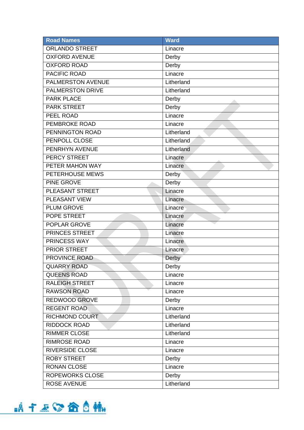| <b>Road Names</b>        | <b>Ward</b> |
|--------------------------|-------------|
| <b>ORLANDO STREET</b>    | Linacre     |
| <b>OXFORD AVENUE</b>     | Derby       |
| <b>OXFORD ROAD</b>       | Derby       |
| PACIFIC ROAD             | Linacre     |
| <b>PALMERSTON AVENUE</b> | Litherland  |
| <b>PALMERSTON DRIVE</b>  | Litherland  |
| <b>PARK PLACE</b>        | Derby       |
| <b>PARK STREET</b>       | Derby       |
| PEEL ROAD                | Linacre     |
| <b>PEMBROKE ROAD</b>     | Linacre     |
| PENNINGTON ROAD          | Litherland  |
| PENPOLL CLOSE            | Litherland  |
| PENRHYN AVENUE           | Litherland  |
| <b>PERCY STREET</b>      | Linacre     |
| PETER MAHON WAY          | Linacre     |
| PETERHOUSE MEWS          | Derby       |
| PINE GROVE               | Derby       |
| <b>PLEASANT STREET</b>   | Linacre     |
| PLEASANT VIEW            | Linacre     |
| <b>PLUM GROVE</b>        | Linacre     |
| POPE STREET              | Linacre     |
| <b>POPLAR GROVE</b>      | Linacre     |
| <b>PRINCES STREET</b>    | Linacre     |
| PRINCESS WAY             | Linacre     |
| <b>PRIOR STREET</b>      | Linacre     |
| PROVINCE ROAD            | Derby       |
| <b>QUARRY ROAD</b>       | Derby       |
| <b>QUEENS ROAD</b>       | Linacre     |
| <b>RALEIGH STREET</b>    | Linacre     |
| <b>RAWSON ROAD</b>       | Linacre     |
| REDWOOD GROVE            | Derby       |
| <b>REGENT ROAD</b>       | Linacre     |
| <b>RICHMOND COURT</b>    | Litherland  |
| <b>RIDDOCK ROAD</b>      | Litherland  |
| RIMMER CLOSE             | Litherland  |
| <b>RIMROSE ROAD</b>      | Linacre     |
| <b>RIVERSIDE CLOSE</b>   | Linacre     |
| <b>ROBY STREET</b>       | Derby       |
| <b>RONAN CLOSE</b>       | Linacre     |
| <b>ROPEWORKS CLOSE</b>   | Derby       |
| <b>ROSE AVENUE</b>       | Litherland  |

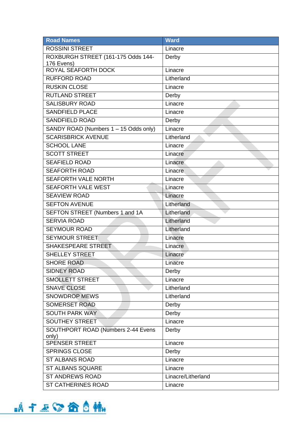| <b>Road Names</b>                        | <b>Ward</b>        |
|------------------------------------------|--------------------|
| <b>ROSSINI STREET</b>                    | Linacre            |
| ROXBURGH STREET (161-175 Odds 144-       | Derby              |
| 176 Evens)<br><b>ROYAL SEAFORTH DOCK</b> |                    |
|                                          | Linacre            |
| <b>RUFFORD ROAD</b>                      | Litherland         |
| <b>RUSKIN CLOSE</b>                      | Linacre            |
| <b>RUTLAND STREET</b>                    | Derby              |
| <b>SALISBURY ROAD</b>                    | Linacre            |
| <b>SANDFIELD PLACE</b>                   | Linacre            |
| <b>SANDFIELD ROAD</b>                    | Derby              |
| SANDY ROAD (Numbers 1 - 15 Odds only)    | Linacre            |
| <b>SCARISBRICK AVENUE</b>                | Litherland         |
| <b>SCHOOL LANE</b>                       | Linacre            |
| <b>SCOTT STREET</b>                      | Linacre            |
| <b>SEAFIELD ROAD</b>                     | Linacre            |
| <b>SEAFORTH ROAD</b>                     | Linacre            |
| <b>SEAFORTH VALE NORTH</b>               | Linacre            |
| <b>SEAFORTH VALE WEST</b>                | Linacre            |
| <b>SEAVIEW ROAD</b>                      | Linacre            |
| <b>SEFTON AVENUE</b>                     | Litherland         |
| SEFTON STREET (Numbers 1 and 1A          | Litherland         |
| <b>SERVIA ROAD</b>                       | Litherland         |
| <b>SEYMOUR ROAD</b>                      | Litherland         |
| <b>SEYMOUR STREET</b>                    | Linacre            |
| SHAKESPEARE STREET                       | Linacre            |
| <b>SHELLEY STREET</b>                    | Linacre            |
| <b>SHORE ROAD</b>                        | Linacre            |
| <b>SIDNEY ROAD</b>                       | Derby              |
| <b>SMOLLETT STREET</b>                   | Linacre            |
| <b>SNAVE CLOSE</b>                       | Litherland         |
| <b>SNOWDROP MEWS</b>                     | Litherland         |
| <b>SOMERSET ROAD</b>                     | Derby              |
| <b>SOUTH PARK WAY</b>                    | Derby              |
| <b>SOUTHEY STREET</b>                    | Linacre            |
| SOUTHPORT ROAD (Numbers 2-44 Evens       | Derby              |
| only)                                    |                    |
| <b>SPENSER STREET</b>                    | Linacre            |
| <b>SPRINGS CLOSE</b>                     | Derby              |
| <b>ST ALBANS ROAD</b>                    | Linacre            |
| ST ALBANS SQUARE                         | Linacre            |
| <b>ST ANDREWS ROAD</b>                   | Linacre/Litherland |
| ST CATHERINES ROAD                       | Linacre            |

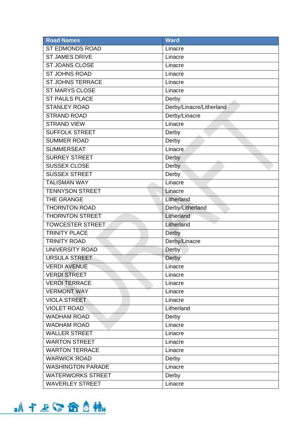| <b>Road Names</b>        | <b>Ward</b>              |
|--------------------------|--------------------------|
| <b>ST EDMONDS ROAD</b>   | Linacre                  |
| <b>ST JAMES DRIVE</b>    | Linacre                  |
| <b>ST JOANS CLOSE</b>    | Linacre                  |
| <b>ST JOHNS ROAD</b>     | Linacre                  |
| <b>ST JOHNS TERRACE</b>  | Linacre                  |
| <b>ST MARYS CLOSE</b>    | Linacre                  |
| <b>ST PAULS PLACE</b>    | Derby                    |
| <b>STANLEY ROAD</b>      | Derby/Linacre/Litherland |
| <b>STRAND ROAD</b>       | Derby/Linacre            |
| <b>STRAND VIEW</b>       | Linacre                  |
| <b>SUFFOLK STREET</b>    | Derby                    |
| <b>SUMMER ROAD</b>       | Derby                    |
| <b>SUMMERSEAT</b>        | Linacre                  |
| <b>SURREY STREET</b>     | Derby                    |
| <b>SUSSEX CLOSE</b>      | Derby                    |
| <b>SUSSEX STREET</b>     | Derby                    |
| <b>TALISMAN WAY</b>      | Linacre                  |
| <b>TENNYSON STREET</b>   | Linacre                  |
| THE GRANGE               | Litherland               |
| <b>THORNTON ROAD</b>     | Derby/Litherland         |
| <b>THORNTON STREET</b>   | Litherland               |
| <b>TOWCESTER STREET</b>  | Litherland               |
| <b>TRINITY PLACE</b>     | Derby                    |
| <b>TRINITY ROAD</b>      | Derby/Linacre            |
| <b>UNIVERSITY ROAD</b>   | Derby                    |
| <b>URSULA STREET</b>     | Derby                    |
| <b>VERDI AVENUE</b>      | Linacre                  |
| <b>VERDI STREET</b>      | Linacre                  |
| <b>VERDI TERRACE</b>     | Linacre                  |
| <b>VERMONT WAY</b>       | Linacre                  |
| <b>VIOLA STREET</b>      | Linacre                  |
| <b>VIOLET ROAD</b>       | Litherland               |
| <b>WADHAM ROAD</b>       | Derby                    |
| <b>WADHAM ROAD</b>       | Linacre                  |
| <b>WALLER STREET</b>     | Linacre                  |
| <b>WARTON STREET</b>     | Linacre                  |
| <b>WARTON TERRACE</b>    | Linacre                  |
| <b>WARWICK ROAD</b>      | Derby                    |
| <b>WASHINGTON PARADE</b> | Linacre                  |
| <b>WATERWORKS STREET</b> | Derby                    |
| <b>WAVERLEY STREET</b>   | Linacre                  |